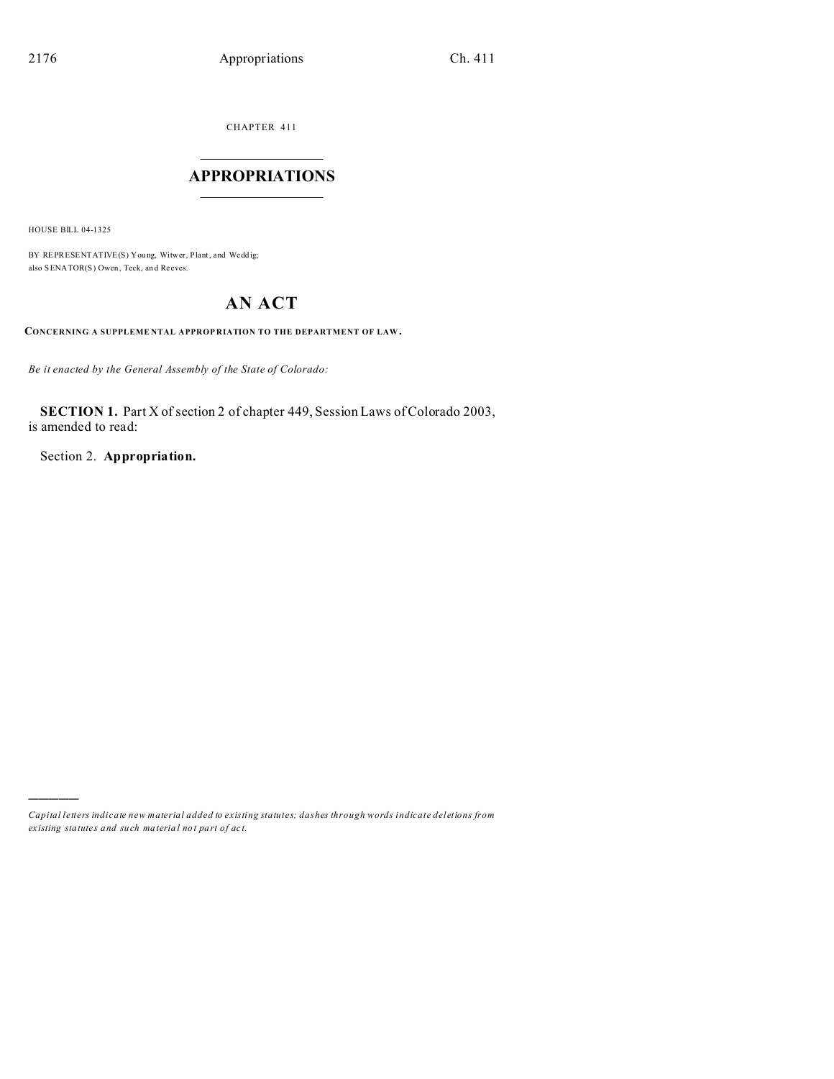CHAPTER 411

## $\overline{\phantom{a}}$  , where  $\overline{\phantom{a}}$ **APPROPRIATIONS**  $\_$   $\_$   $\_$   $\_$   $\_$   $\_$   $\_$   $\_$

HOUSE BILL 04-1325

)))))

BY REPRESENTATIVE(S) Young, Witwer, Plant, and Weddig; also SENATOR(S) Owen, Teck, an d Reeves.

# **AN ACT**

**CONCERNING A SUPPLEME NTAL APPROP RIATION TO THE DEPARTMENT OF LAW.**

*Be it enacted by the General Assembly of the State of Colorado:*

**SECTION 1.** Part X of section 2 of chapter 449, Session Laws of Colorado 2003, is amended to read:

Section 2. **Appropriation.**

*Capital letters indicate new material added to existing statutes; dashes through words indicate deletions from ex isting statute s and such ma teria l no t pa rt of ac t.*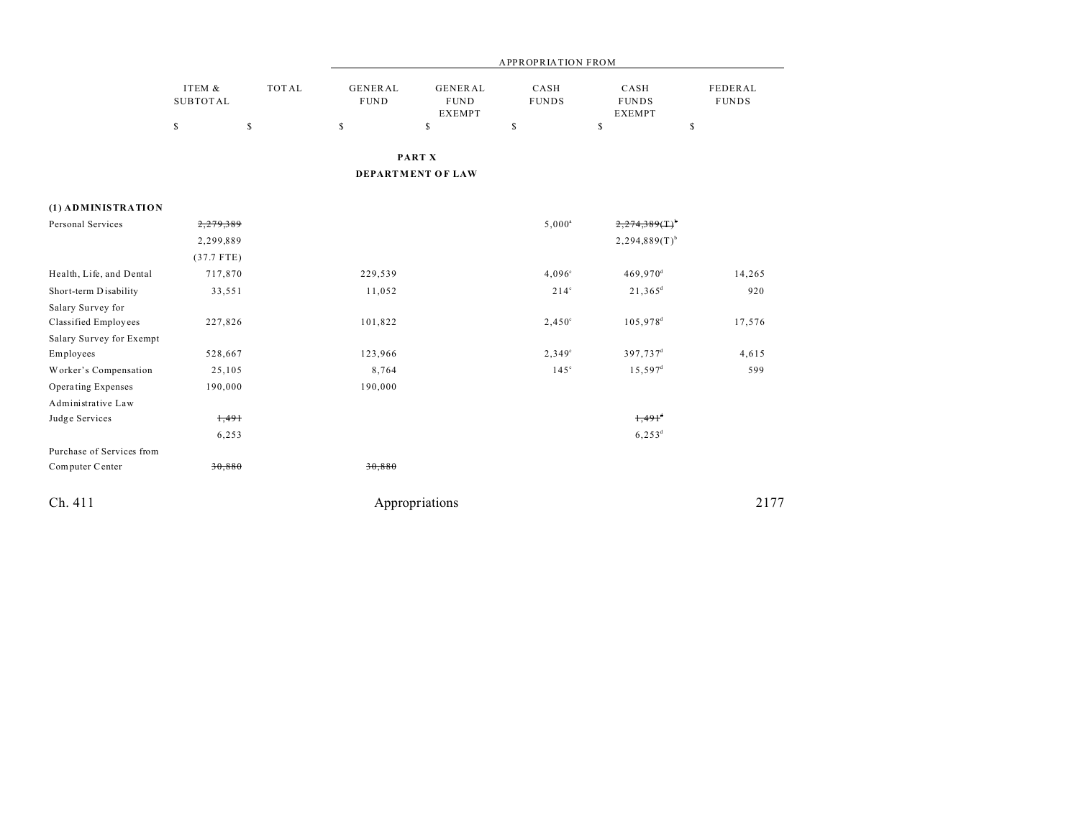|                           |                           |              |                               |                                                | <b>APPROPRIATION FROM</b> |                                       |                                |
|---------------------------|---------------------------|--------------|-------------------------------|------------------------------------------------|---------------------------|---------------------------------------|--------------------------------|
|                           | ITEM &<br><b>SUBTOTAL</b> | <b>TOTAL</b> | <b>GENERAL</b><br><b>FUND</b> | <b>GENERAL</b><br><b>FUND</b><br><b>EXEMPT</b> | CASH<br><b>FUNDS</b>      | CASH<br><b>FUNDS</b><br><b>EXEMPT</b> | <b>FEDERAL</b><br><b>FUNDS</b> |
|                           | $\mathsf S$               | $\mathbb{S}$ | $\mathbb S$                   | \$                                             | \$                        | \$                                    | \$                             |
|                           |                           |              |                               | PART X                                         |                           |                                       |                                |
|                           |                           |              |                               | DEPARTMENT OF LAW                              |                           |                                       |                                |
| (1) ADMINISTRATION        |                           |              |                               |                                                |                           |                                       |                                |
| Personal Services         | 2,279,389                 |              |                               |                                                | $5,000^a$                 | $2,274,389$ (T) <sup>b</sup>          |                                |
|                           | 2,299,889                 |              |                               |                                                |                           | $2,294,889(T)$ <sup>b</sup>           |                                |
|                           | $(37.7$ FTE)              |              |                               |                                                |                           |                                       |                                |
| Health, Life, and Dental  | 717,870                   |              | 229,539                       |                                                | $4,096^{\circ}$           | 469,970 <sup>d</sup>                  | 14,265                         |
| Short-term Disability     | 33,551                    |              | 11,052                        |                                                | $214^{\circ}$             | $21,365^d$                            | 920                            |
| Salary Survey for         |                           |              |                               |                                                |                           |                                       |                                |
| Classified Employees      | 227,826                   |              | 101,822                       |                                                | $2,450^{\circ}$           | 105,978 <sup>d</sup>                  | 17,576                         |
| Salary Survey for Exempt  |                           |              |                               |                                                |                           |                                       |                                |
| Employees                 | 528,667                   |              | 123,966                       |                                                | $2,349^{\circ}$           | 397,737 <sup>d</sup>                  | 4,615                          |
| Worker's Compensation     | 25,105                    |              | 8,764                         |                                                | $145^\circ$               | $15,597^{\rm d}$                      | 599                            |
| Operating Expenses        | 190,000                   |              | 190,000                       |                                                |                           |                                       |                                |
| Administrative Law        |                           |              |                               |                                                |                           |                                       |                                |
| Judge Services            | 1,491                     |              |                               |                                                |                           | $1,491$ <sup>d</sup>                  |                                |
|                           | 6,253                     |              |                               |                                                |                           | $6,253^d$                             |                                |
| Purchase of Services from |                           |              |                               |                                                |                           |                                       |                                |
| Computer Center           | 30,880                    |              | 30,880                        |                                                |                           |                                       |                                |
| Ch. 411                   |                           |              |                               | Appropriations                                 |                           |                                       | 2177                           |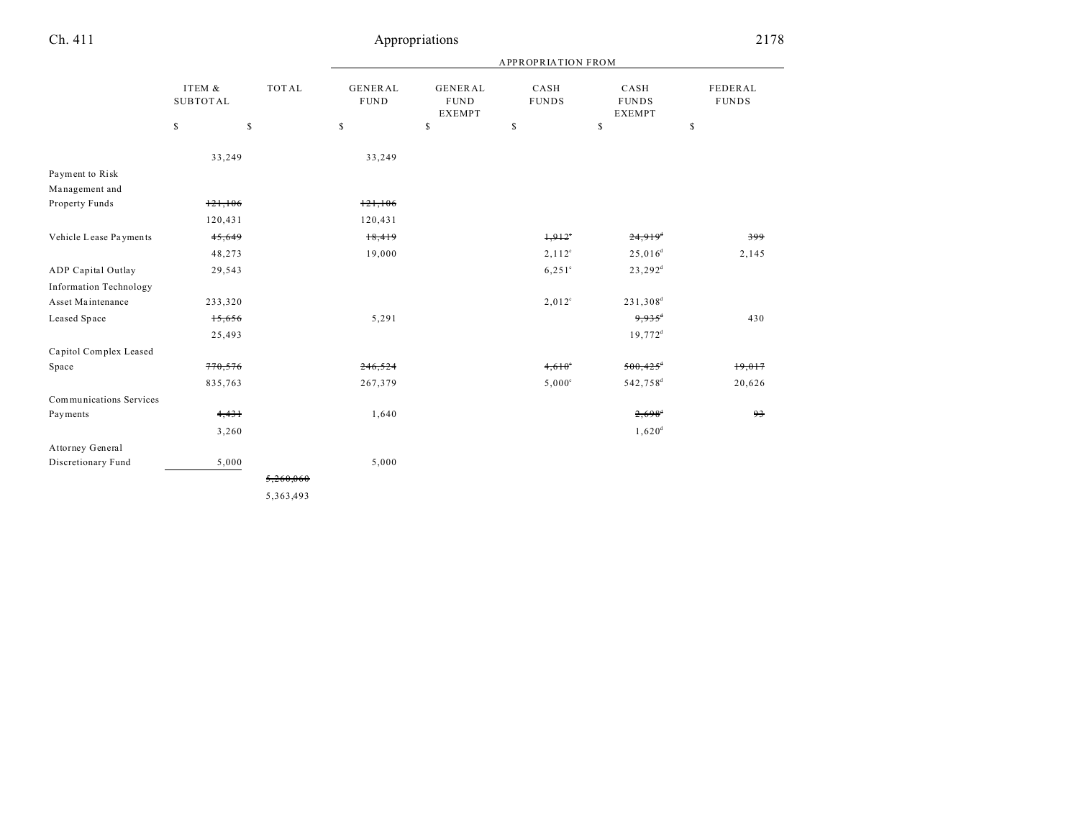|                                   |                           |                                                                       | <b>APPROPRIATION FROM</b>     |                                                |                      |                                       |                         |  |
|-----------------------------------|---------------------------|-----------------------------------------------------------------------|-------------------------------|------------------------------------------------|----------------------|---------------------------------------|-------------------------|--|
|                                   | ITEM &<br><b>SUBTOTAL</b> | <b>TOTAL</b>                                                          | <b>GENERAL</b><br><b>FUND</b> | <b>GENERAL</b><br><b>FUND</b><br><b>EXEMPT</b> | CASH<br><b>FUNDS</b> | CASH<br><b>FUNDS</b><br><b>EXEMPT</b> | FEDERAL<br><b>FUNDS</b> |  |
|                                   | \$                        | $\mathbb{S}% _{t}\left( t\right) \equiv\mathbb{S}_{t}\left( t\right)$ | \$                            | $\mathbb S$                                    | \$                   | $\mathbb{S}$                          | \$                      |  |
|                                   | 33,249                    |                                                                       | 33,249                        |                                                |                      |                                       |                         |  |
| Payment to Risk<br>Management and |                           |                                                                       |                               |                                                |                      |                                       |                         |  |
| Property Funds                    | 121,106                   |                                                                       | 121,106                       |                                                |                      |                                       |                         |  |
|                                   | 120,431                   |                                                                       | 120,431                       |                                                |                      |                                       |                         |  |
| Vehicle Lease Payments            | 45,649                    |                                                                       | 18,419                        |                                                | $1,912$ <sup>*</sup> | $24,919$ <sup>d</sup>                 | 399                     |  |
|                                   | 48,273                    |                                                                       | 19,000                        |                                                | $2,112^c$            | $25,016^d$                            | 2,145                   |  |
| ADP Capital Outlay                | 29,543                    |                                                                       |                               |                                                | $6,251^{\circ}$      | $23,292^d$                            |                         |  |
| <b>Information Technology</b>     |                           |                                                                       |                               |                                                |                      |                                       |                         |  |
| Asset Maintenance                 | 233,320                   |                                                                       |                               |                                                | $2,012^{\circ}$      | 231,308 <sup>d</sup>                  |                         |  |
| Leased Space                      | 15,656                    |                                                                       | 5,291                         |                                                |                      | $9.935^4$                             | 430                     |  |
|                                   | 25,493                    |                                                                       |                               |                                                |                      | $19,772$ <sup>d</sup>                 |                         |  |
| Capitol Complex Leased            |                           |                                                                       |                               |                                                |                      |                                       |                         |  |
| Space                             | 770,576                   |                                                                       | 246,524                       |                                                | $4,610^{\circ}$      | $500,425$ <sup>+</sup>                | 19,017                  |  |
|                                   | 835,763                   |                                                                       | 267,379                       |                                                | $5,000^{\circ}$      | 542,758 <sup>d</sup>                  | 20,626                  |  |
| Communications Services           |                           |                                                                       |                               |                                                |                      |                                       |                         |  |
| Payments                          | 4,431                     |                                                                       | 1,640                         |                                                |                      | $2,698$ <sup>d</sup>                  | 93                      |  |
|                                   | 3,260                     |                                                                       |                               |                                                |                      | $1,620^{\rm d}$                       |                         |  |
| Attorney General                  |                           |                                                                       |                               |                                                |                      |                                       |                         |  |
| Discretionary Fund                | 5,000                     |                                                                       | 5,000                         |                                                |                      |                                       |                         |  |
|                                   |                           | 5,260,060                                                             |                               |                                                |                      |                                       |                         |  |
|                                   |                           | 5,363,493                                                             |                               |                                                |                      |                                       |                         |  |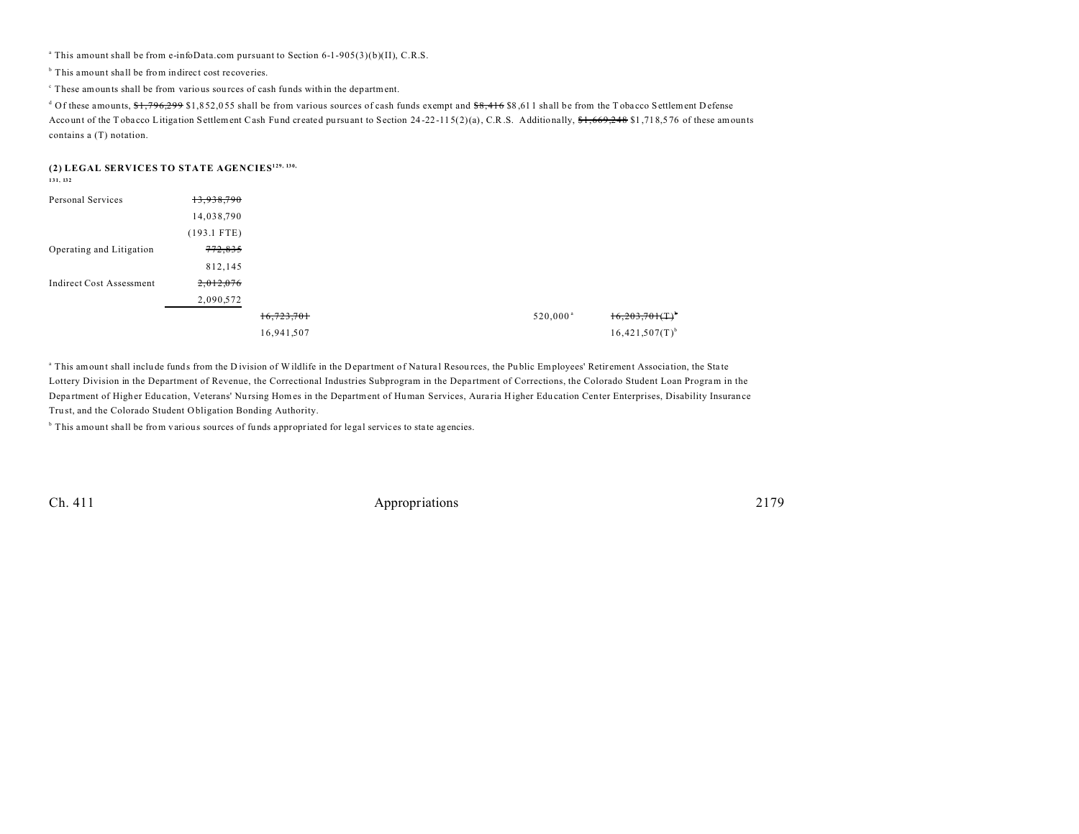<sup>a</sup> This amount shall be from e-infoData.com pursuant to Section 6-1-905(3)(b)(II), C.R.S.

<sup>b</sup> This amount shall be from indirect cost recoveries.

c These amounts shall be from various sou rces of cash funds within the department.

<sup>d</sup> Of these amounts, <del>\$1,796,299</del> \$1,852,055 shall be from various sources of cash funds exempt and <del>\$8,416</del> \$8,611 shall be from the T obacco Settlement D efense Account of the T obacco Litigation Settlement Cash Fund created pursuant to Section 24-22-115(2)(a), C.R.S. Additionally,  $f_1, f_2, f_3, f_4$  \$1,718,576 of these amounts contains a (T) notation.

### **(2) LEGAL SERVICES TO STATE AGENCIES129, 130,**

**131, 132**

| Personal Services               | 13,938,790         |            |  |                      |                               |
|---------------------------------|--------------------|------------|--|----------------------|-------------------------------|
|                                 | 14,038,790         |            |  |                      |                               |
|                                 | $(193.1$ FTE)      |            |  |                      |                               |
| Operating and Litigation        | <del>772,835</del> |            |  |                      |                               |
|                                 | 812,145            |            |  |                      |                               |
| <b>Indirect Cost Assessment</b> | 2,012,076          |            |  |                      |                               |
|                                 | 2,090,572          |            |  |                      |                               |
|                                 |                    | 16,723,701 |  | 520,000 <sup>a</sup> | $16,203,701$ (T) <sup>b</sup> |
|                                 |                    | 16,941,507 |  |                      | $16,421,507(T)$ <sup>b</sup>  |

<sup>a</sup> This amount shall include funds from the D ivision of Wildlife in the Department of Natural Resources, the Public Employees' Retirement Association, the State Lottery Division in the Department of Revenue, the Correctional Industries Subprogram in the Department of Corrections, the Colorado Student Loan Program in the Depa rtment of Higher Edu cation, Veterans' Nu rsing Homes in the Department of Human Services, Aura ria Higher Edu cation Center Enterprises, Disability Insurance Tru st, and the Colorado Student Obligation Bonding Authority.

<sup>b</sup> This amount shall be from various sources of funds appropriated for legal services to state agencies.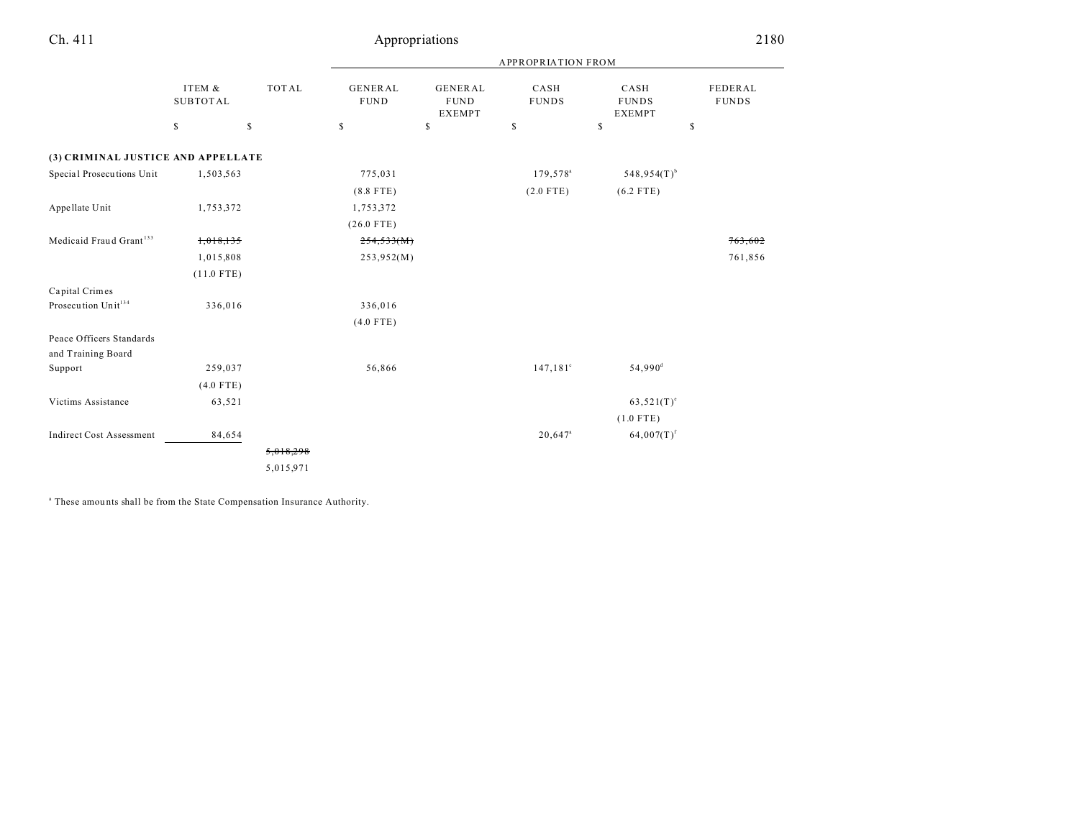|                                                |                           |              | <b>APPROPRIATION FROM</b>      |                                                |                         |                                       |                         |  |
|------------------------------------------------|---------------------------|--------------|--------------------------------|------------------------------------------------|-------------------------|---------------------------------------|-------------------------|--|
|                                                | ITEM &<br><b>SUBTOTAL</b> | <b>TOTAL</b> | <b>GENERAL</b><br>${\tt FUND}$ | <b>GENERAL</b><br><b>FUND</b><br><b>EXEMPT</b> | CASH<br><b>FUNDS</b>    | CASH<br><b>FUNDS</b><br><b>EXEMPT</b> | FEDERAL<br><b>FUNDS</b> |  |
|                                                | \$                        | $\mathbb{S}$ | $\mathbb{S}$                   | \$                                             | $\mathbb S$             | \$                                    | \$                      |  |
| (3) CRIMINAL JUSTICE AND APPELLATE             |                           |              |                                |                                                |                         |                                       |                         |  |
| Special Prosecutions Unit                      | 1,503,563                 |              | 775,031                        |                                                | 179,578 <sup>a</sup>    | $548,954(T)$ <sup>b</sup>             |                         |  |
|                                                |                           |              | $(8.8$ FTE)                    |                                                | $(2.0$ FTE)             | $(6.2$ FTE)                           |                         |  |
| Appellate Unit                                 | 1,753,372                 |              | 1,753,372                      |                                                |                         |                                       |                         |  |
|                                                |                           |              | $(26.0$ FTE)                   |                                                |                         |                                       |                         |  |
| Medicaid Fraud Grant <sup>133</sup>            | 1,018,135                 |              | 254,533(M)                     |                                                |                         |                                       | 763,602                 |  |
|                                                | 1,015,808                 |              | 253,952(M)                     |                                                |                         |                                       | 761,856                 |  |
|                                                | $(11.0$ FTE)              |              |                                |                                                |                         |                                       |                         |  |
| Capital Crimes                                 |                           |              |                                |                                                |                         |                                       |                         |  |
| Prosecution Unit <sup>134</sup>                | 336,016                   |              | 336,016                        |                                                |                         |                                       |                         |  |
|                                                |                           |              | $(4.0$ FTE)                    |                                                |                         |                                       |                         |  |
| Peace Officers Standards<br>and Training Board |                           |              |                                |                                                |                         |                                       |                         |  |
| Support                                        | 259,037                   |              | 56,866                         |                                                | $147, 181$ <sup>c</sup> | $54,990$ <sup>d</sup>                 |                         |  |
|                                                | $(4.0$ FTE)               |              |                                |                                                |                         |                                       |                         |  |
| Victims Assistance                             | 63,521                    |              |                                |                                                |                         | $63,521(T)^e$                         |                         |  |
|                                                |                           |              |                                |                                                |                         | $(1.0$ FTE)                           |                         |  |
| <b>Indirect Cost Assessment</b>                | 84,654                    |              |                                |                                                | $20,647$ <sup>a</sup>   | $64,007(T)^f$                         |                         |  |
|                                                |                           | 5,018,298    |                                |                                                |                         |                                       |                         |  |
|                                                |                           | 5,015,971    |                                |                                                |                         |                                       |                         |  |

<sup>a</sup> These amounts shall be from the State Compensation Insurance Authority.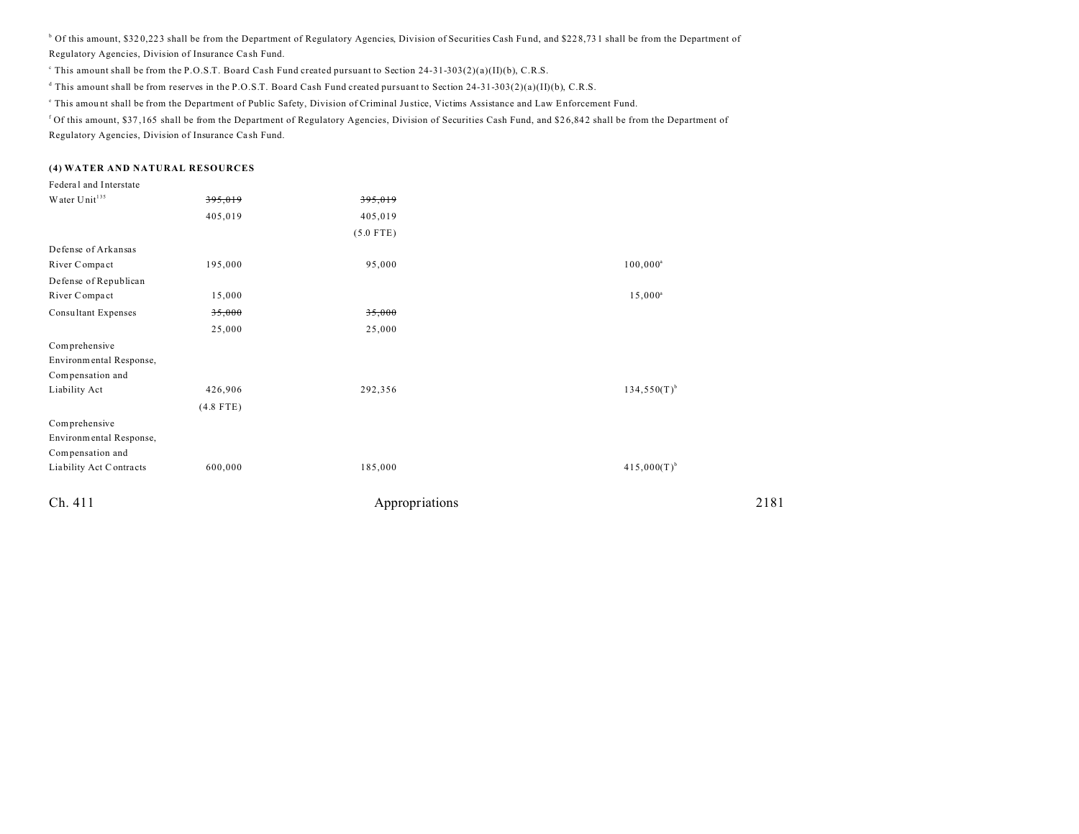<sup>b</sup> Of this amount, \$320,223 shall be from the Department of Regulatory Agencies, Division of Securities Cash Fund, and \$228,731 shall be from the Department of Regulatory Agencies, Division of Insurance Ca sh Fund.

This amount shall be from the P.O.S.T. Board Cash Fund created pursuant to Section 24-31-303(2)(a)(II)(b), C.R.S.

d This amount shall be from reserves in the P.O.S.T. Board Cash Fund created pursuant to Section 24-31-303(2)(a)(II)(b), C.R.S.

This amount shall be from the Department of Public Safety, Division of Criminal Justice, Victims Assistance and Law Enforcement Fund.

<sup>f</sup> Of this amount, \$37,165 shall be from the Department of Regulatory Agencies, Division of Securities Cash Fund, and \$26,842 shall be from the Department of Regulatory Agencies, Division of Insurance Ca sh Fund.

#### **(4) WATER AND NATURAL RESOURCES**

| Federal and Interstate      |             |                |                  |
|-----------------------------|-------------|----------------|------------------|
| Water $\mathrm{Unit}^{135}$ | 395,019     | 395,019        |                  |
|                             | 405,019     | 405,019        |                  |
|                             |             | $(5.0$ FTE)    |                  |
| Defense of Arkansas         |             |                |                  |
| River Compact               | 195,000     | 95,000         | $100,000^a$      |
| Defense of Republican       |             |                |                  |
| River Compact               | 15,000      |                | $15,000^{\circ}$ |
| Consultant Expenses         | 35,000      | 35,000         |                  |
|                             | 25,000      | 25,000         |                  |
| Comprehensive               |             |                |                  |
| Environmental Response,     |             |                |                  |
| Compensation and            |             |                |                  |
| Liability Act               | 426,906     | 292,356        | $134,550(T)^{b}$ |
|                             | $(4.8$ FTE) |                |                  |
| Comprehensive               |             |                |                  |
| Environmental Response,     |             |                |                  |
| Compensation and            |             |                |                  |
| Liability Act Contracts     | 600,000     | 185,000        | $415,000(T)^{b}$ |
| Ch. 411                     |             | Appropriations | 2181             |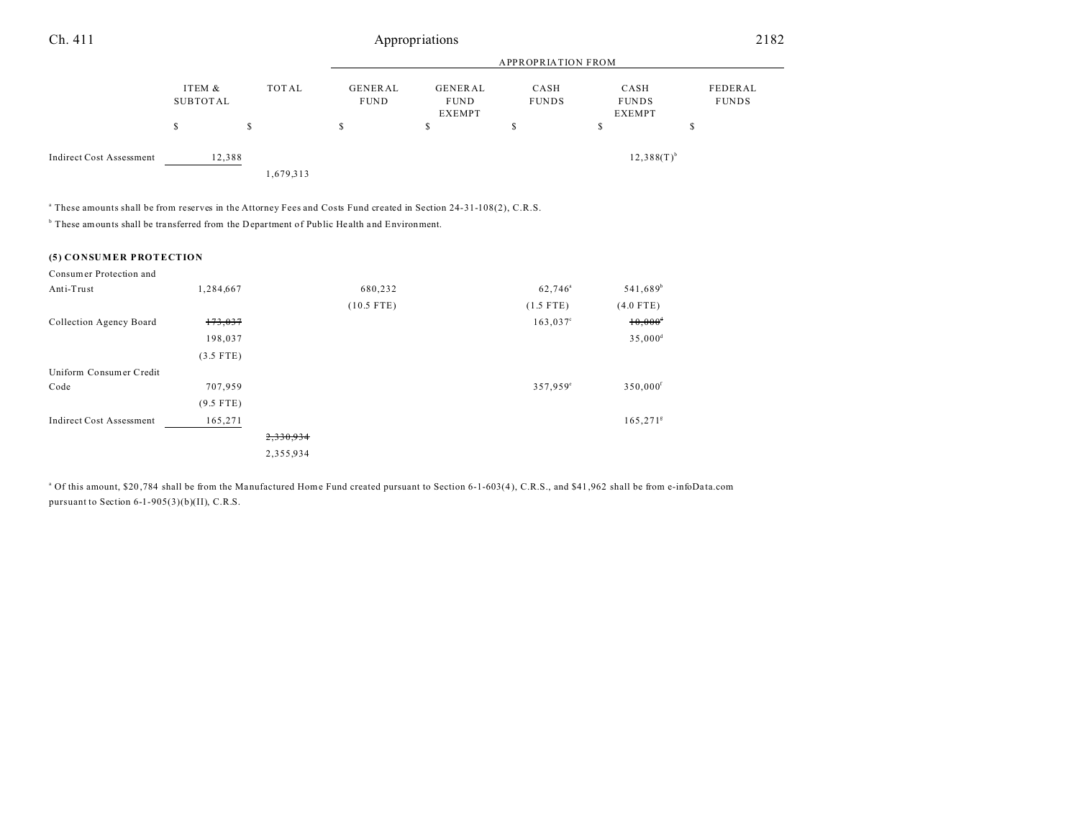| Ch. 411                         |                    | 2182      |                               |                                         |                      |                                       |                         |
|---------------------------------|--------------------|-----------|-------------------------------|-----------------------------------------|----------------------|---------------------------------------|-------------------------|
|                                 |                    |           | <b>APPROPRIATION FROM</b>     |                                         |                      |                                       |                         |
|                                 | ITEM &<br>SUBTOTAL | TOTAL     | <b>GENERAL</b><br><b>FUND</b> | GENERAL<br><b>FUND</b><br><b>EXEMPT</b> | CASH<br><b>FUNDS</b> | CASH<br><b>FUNDS</b><br><b>EXEMPT</b> | FEDERAL<br><b>FUNDS</b> |
|                                 | S                  | S         | э                             | S                                       | $\triangle$<br>.Ъ    | s                                     | c<br>D                  |
| <b>Indirect Cost Assessment</b> | 12,388             |           |                               |                                         |                      | $12,388(T)^{b}$                       |                         |
|                                 |                    | 1,679,313 |                               |                                         |                      |                                       |                         |

a These amounts shall be from reserves in the Attorney Fees and Costs Fund created in Section 24-31-108(2), C.R.S.

<sup>b</sup> These amounts shall be transferred from the Department of Public Health and Environment.

#### **(5) CONSUMER PROTECTION**

| Consumer Protection and         |             |           |              |                     |                        |
|---------------------------------|-------------|-----------|--------------|---------------------|------------------------|
| Anti-Trust                      | 1,284,667   |           | 680,232      | 62,746 <sup>a</sup> | 541,689 <sup>b</sup>   |
|                                 |             |           | $(10.5$ FTE) | $(1.5$ FTE)         | $(4.0$ FTE)            |
| Collection Agency Board         | 173,037     |           |              | $163,037^{\circ}$   | $10,000^4$             |
|                                 | 198,037     |           |              |                     | $35,000^{\rm d}$       |
|                                 | $(3.5$ FTE) |           |              |                     |                        |
| Uniform Consumer Credit         |             |           |              |                     |                        |
| Code                            | 707,959     |           |              | 357,959°            | 350,000 <sup>f</sup>   |
|                                 | $(9.5$ FTE) |           |              |                     |                        |
| <b>Indirect Cost Assessment</b> | 165,271     |           |              |                     | $165,271$ <sup>g</sup> |
|                                 |             | 2,330,934 |              |                     |                        |
|                                 |             | 2,355,934 |              |                     |                        |

<sup>a</sup> Of this amount, \$20,784 shall be from the Manufactured Home Fund created pursuant to Section 6-1-603(4), C.R.S., and \$41,962 shall be from e-infoData.com pursuant to Section 6-1-905(3)(b)(II), C.R.S.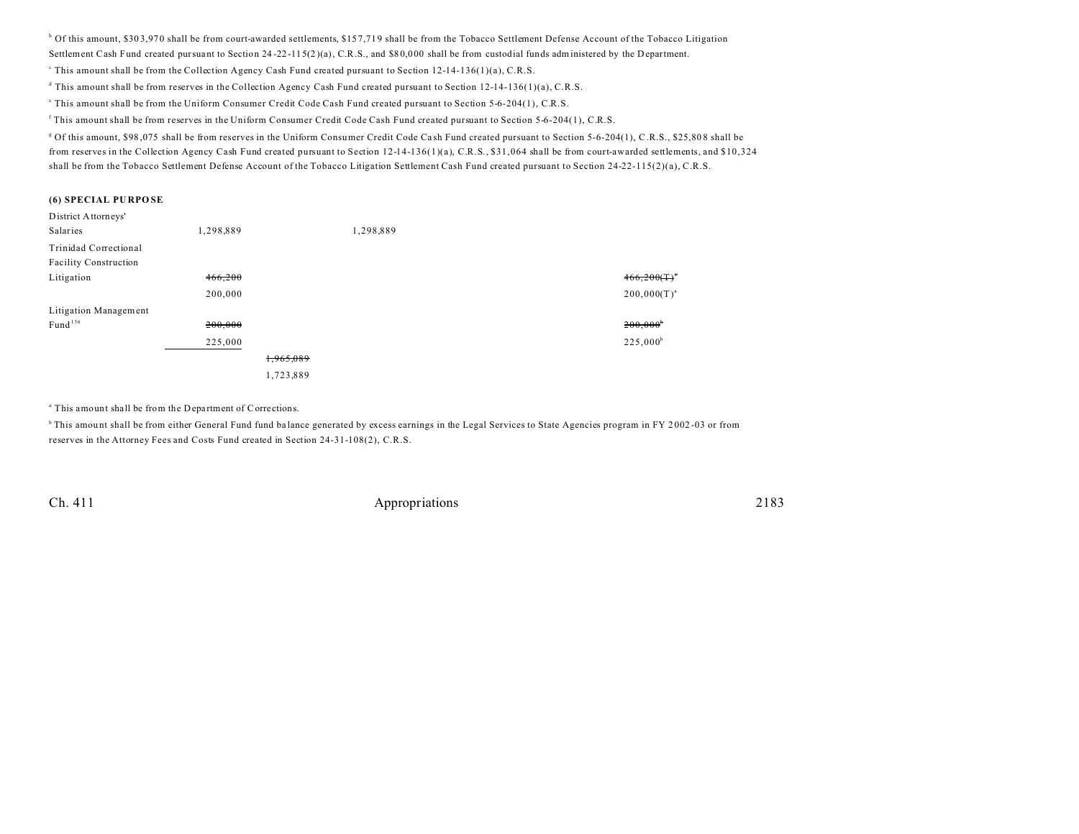$\rm^b$  Of this amount, \$303,970 shall be from court-awarded settlements, \$157,719 shall be from the Tobacco Settlement Defense Account of the Tobacco Litigation

Settlement Cash Fund created pursuant to Section 24 -22-115(2 )(a), C.R.S., and \$8 0,0 00 shall be from custodial funds administered by the Department.

This amount shall be from the Collection Agency Cash Fund created pursuant to Section 12-14-136(1)(a), C.R.S.

d This amount shall be from reserves in the Collection Agency Cash Fund created pursuant to Section 12-14-136(1)(a), C.R.S.

e This amount shall be from the Uniform Consumer Credit Code Cash Fund created pursuant to Section 5-6-204(1), C.R.S.

f This amount shall be from reserves in the Uniform Consumer Credit Code Cash Fund created pursuant to Section 5-6-204(1), C.R.S.

<sup>g</sup> Of this amount, \$98,075 shall be from reserves in the Uniform Consumer Credit Code Cash Fund created pursuant to Section 5-6-204(1), C.R.S., \$25,808 shall be from reserves in the Collection Agency Cash Fund created pursuant to Section 12-14-136(1)(a), C.R.S., \$31,064 shall be from court-awarded settlements, and \$10,324 shall be from the Tobacco Settlement Defense Account of the Tobacco Litigation Settlement Cash Fund created pursuant to Section 24-22-115(2)(a), C.R.S.

#### **(6) SPECIAL PU RPO SE**

| District Attorneys'   |           |           |           |                        |
|-----------------------|-----------|-----------|-----------|------------------------|
| Salaries              | 1,298,889 |           | 1,298,889 |                        |
| Trinidad Correctional |           |           |           |                        |
| Facility Construction |           |           |           |                        |
| Litigation            | 466,200   |           |           | $466,200(T)^4$         |
|                       | 200,000   |           |           | $200,000(T)^{a}$       |
| Litigation Management |           |           |           |                        |
| Fund <sup>136</sup>   | 200,000   |           |           | $200,000$ <sup>b</sup> |
|                       | 225,000   |           |           | $225,000^b$            |
|                       |           | 1,965,089 |           |                        |
|                       |           | 1,723,889 |           |                        |
|                       |           |           |           |                        |

<sup>a</sup> This amount shall be from the Department of Corrections.

<sup>b</sup> This amount shall be from either General Fund fund balance generated by excess earnings in the Legal Services to State Agencies program in FY 2002-03 or from reserves in the Attorney Fees and Costs Fund created in Section 24-31-108(2), C.R.S.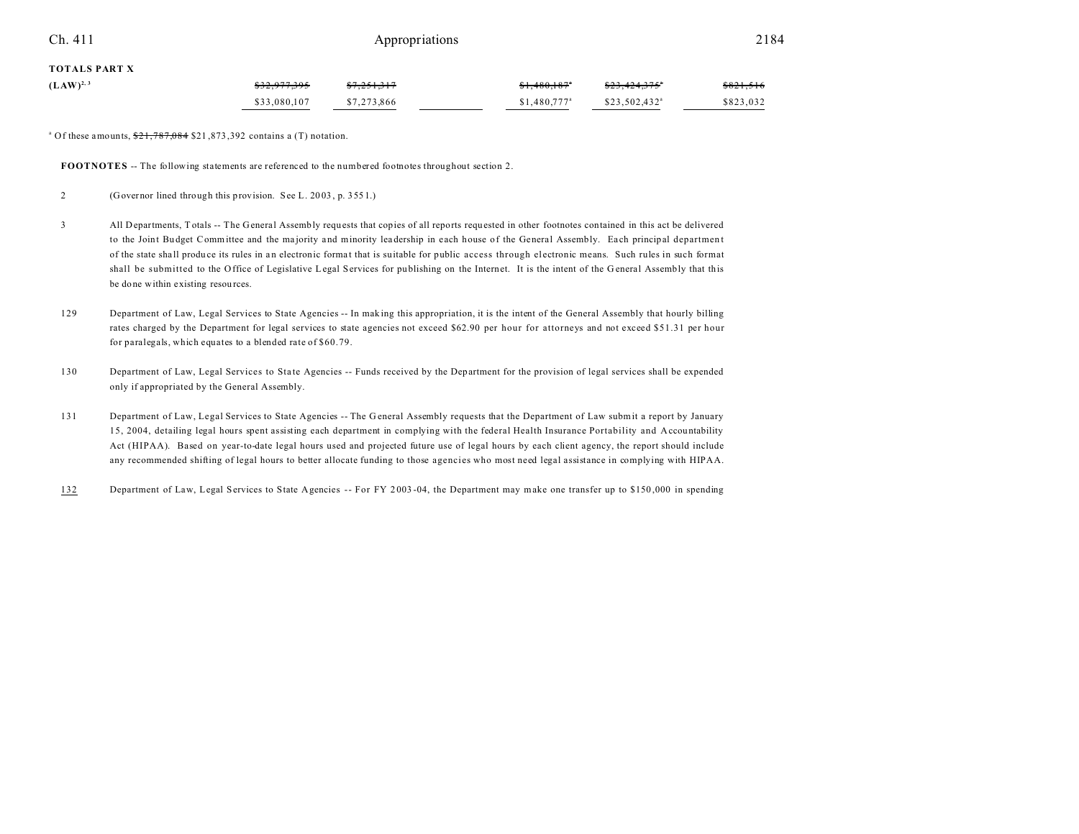### Ch. 411 **Appropriations** 2184

#### **TOTALS PART X**

| $(LAW)^{2,3}$ | \$32,977,395 | 37,251,317  | \$1,480,187               | <del>\$23,424,375</del> * | \$821,516 |
|---------------|--------------|-------------|---------------------------|---------------------------|-----------|
|               | \$33,080,107 | \$7,273,866 | $$1.480.777$ <sup>a</sup> | \$23,502,432 <sup>a</sup> | \$823,032 |

<sup>a</sup> Of these amounts,  $\frac{$21,787,084}{$21,873,392}$  contains a (T) notation.

**FOOTNOTES** -- The following statements are referenced to the numbered footnotes throughout section 2.

2 (Governor lined through this provision. See L. 20 03 , p. 355 1.)

- 3 All Departments, T otals -- The General Assembly requ ests that copies of all reports requested in other footnotes contained in this act be delivered to the Joint Budget Committee and the majority and minority leadership in each house of the General Assembly. Each principal department of the state sha ll produ ce its rules in a n electronic forma t that is suitable for public access through el ectronic means. Such rules in such format shall be submitted to the Office of Legislative Legal Services for pu blishing on the Internet. It is the intent of the G eneral Assembly that this be done within existing resou rces.
- 129 Department of Law, Legal Services to State Agencies -- In mak ing this appropriation, it is the intent of the General Assembly that hourly billing rates charged by the Department for legal services to state agencies not exceed \$62.90 per hour for attorneys and not exceed \$51.31 per hour for paralegals, which equates to a blended rate of \$60.79.
- 130 Department of Law, Legal Services to State Agencies -- Funds received by the Department for the provision of legal services shall be expended only if appropriated by the General Assembly.
- 131 Department of Law, Legal Services to State Agencies -- The G eneral Assembly requests that the Department of Law submit a report by January 15, 2004, detailing legal hours spent assisting each department in complying with the federal Health Insurance Portability and Accountability Act (HIPAA). Based on year-to-date legal hours used and projected future use of legal hours by each client agency, the report should include any recommended shifting of legal hours to better allocate funding to those agencies who most need legal assistance in complying with HIPAA.
- 132 Department of Law, Legal Services to State Agencies -- For FY 2 003 -04, the Department may make one transfer up to \$150 ,000 in spending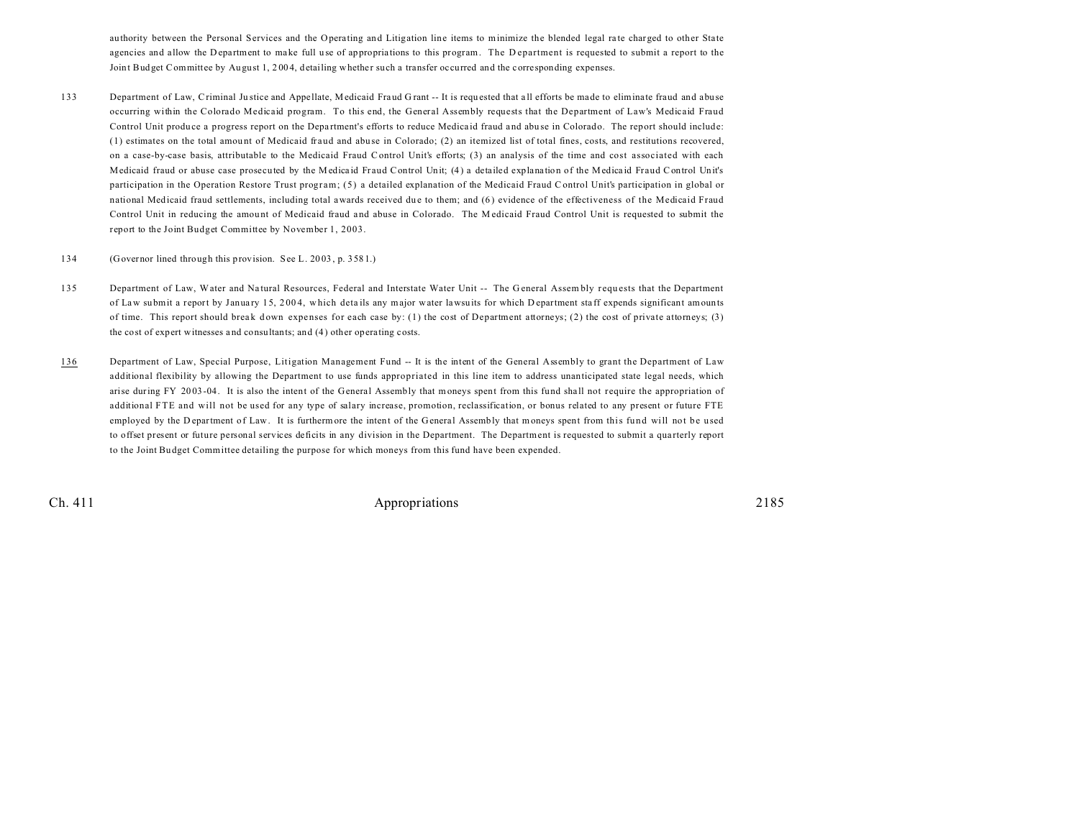authority between the Personal Services and the Operating and Litigation line items to minimize the blended legal rate charged to other State agencies and allow the D epartment to make full use of appropriations to this program. The D epartment is requested to submit a report to the Joint Budget Committee by August 1, 2004, detailing whether such a transfer occurred and the corresponding expenses.

- 133 Department of Law, Criminal Justice and Appellate, Medicaid Fraud Grant -- It is requested that all efforts be made to eliminate fraud and abuse occurring within the Colorado Medicaid program. To this end, the General Assembly requests that the Department of Law's Medicaid Fraud Control Unit produce a progress report on the Department's efforts to reduce Medicaid fraud and abuse in Colorado. The report should include: (1) estimates on the total amou nt of Medicaid fraud and abu se in Colorado; (2) an itemized list of total fines, costs, and restitutions recovered, on a case-by-case basis, attributable to the Medicaid Fraud Control Unit's efforts; (3) an analysis of the time and cost associated with each Medicaid fraud or abuse case prosecuted by the Medicaid Fraud Control Unit; (4) a detailed explanation of the Medicaid Fraud Control Unit's participation in the Operation Restore Trust program; (5) a detailed explanation of the Medicaid Fraud Control Unit's participation in global or national Medicaid fraud settlements, including total awards received due to them; and (6) evidence of the effectiveness of the Medicaid Fraud Control Unit in reducing the amount of Medicaid fraud and abuse in Colorado. The Medicaid Fraud Control Unit is requested to submit the report to the Joint Budget Committee by November 1, 2003.
- 134 (Governor lined through this provision. See L. 20 03 , p. 358 1.)
- 135 Department of Law, Water and Natural Resources, Federal and Interstate Water Unit -- The General Assembly requests that the Department of Law submit a report by January 15, 2004, which details any major water lawsuits for which D epartment staff expends significant amounts of time. This report should break down expenses for each case by: (1) the cost of Department attorneys; (2) the cost of private attorneys; (3) the cost of expert witnesses a nd consultants; and (4 ) other operating costs.
- 136 Department of Law, Special Purpose, Litigation Management Fund -- It is the intent of the General Assembly to grant the Department of Law additional flexibility by allowing the Department to use funds appropriated in this line item to address unanticipated state legal needs, which arise during FY 2003-04. It is also the intent of the General Assembly that moneys spent from this fund shall not require the appropriation of additional FTE and will not be used for any type of salary increase, promotion, reclassification, or bonus related to any present or future FTE employed by the D epartment of Law. It is furthermore the intent of the General Assembly that moneys spent from this fund will not be used to offset present or future personal services deficits in any division in the Department. The Department is requested to submit a qua rterly report to the Joint Bu dget Committee detailing the purpose for which moneys from this fund have been expended.